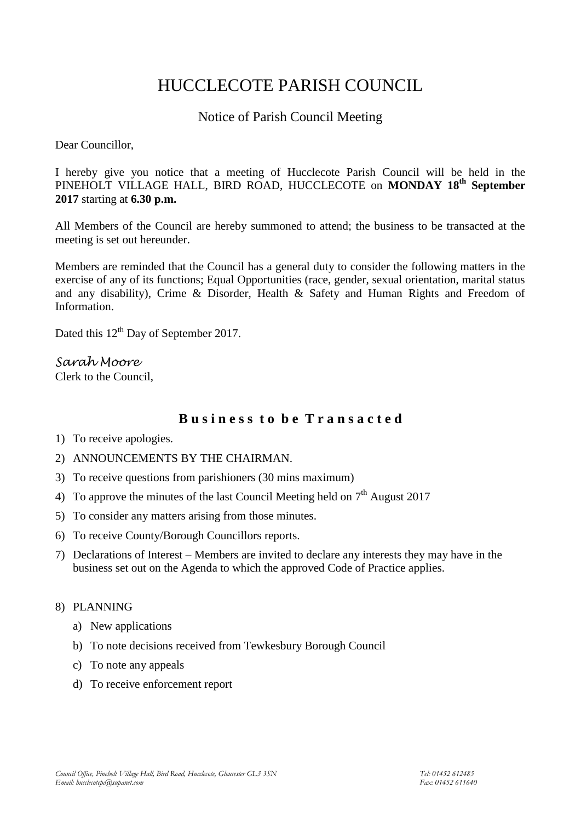# HUCCLECOTE PARISH COUNCIL

# Notice of Parish Council Meeting

Dear Councillor,

I hereby give you notice that a meeting of Hucclecote Parish Council will be held in the PINEHOLT VILLAGE HALL, BIRD ROAD, HUCCLECOTE on **MONDAY 18th September 2017** starting at **6.30 p.m.**

All Members of the Council are hereby summoned to attend; the business to be transacted at the meeting is set out hereunder.

Members are reminded that the Council has a general duty to consider the following matters in the exercise of any of its functions; Equal Opportunities (race, gender, sexual orientation, marital status and any disability), Crime & Disorder, Health & Safety and Human Rights and Freedom of Information.

Dated this 12<sup>th</sup> Day of September 2017.

*Sarah Moore* Clerk to the Council,

# **B u s i n e s s t o b e T r a n s a c t e d**

- 1) To receive apologies.
- 2) ANNOUNCEMENTS BY THE CHAIRMAN.
- 3) To receive questions from parishioners (30 mins maximum)
- 4) To approve the minutes of the last Council Meeting held on  $7<sup>th</sup>$  August 2017
- 5) To consider any matters arising from those minutes.
- 6) To receive County/Borough Councillors reports.
- 7) Declarations of Interest Members are invited to declare any interests they may have in the business set out on the Agenda to which the approved Code of Practice applies.

### 8) PLANNING

- a) New applications
- b) To note decisions received from Tewkesbury Borough Council
- c) To note any appeals
- d) To receive enforcement report